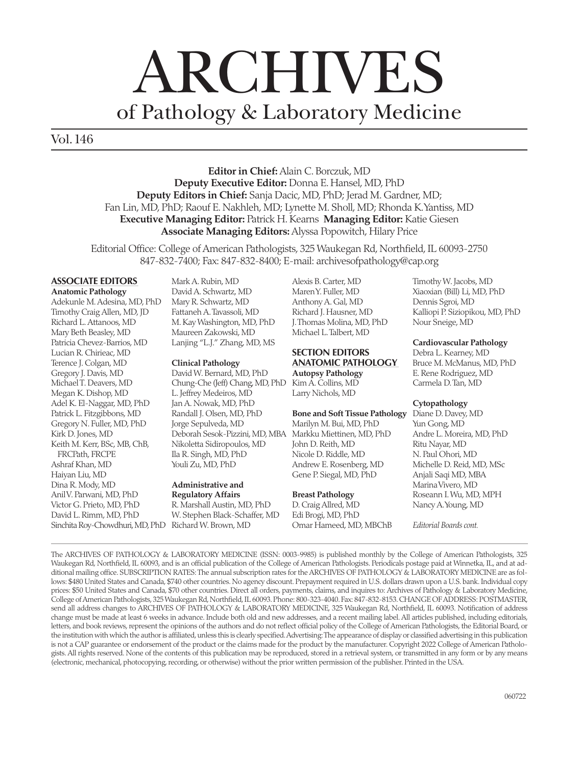# ARCHIVES of Pathology & Laboratory Medicine

Vol.146

**Editor in Chief:** Alain C. Borczuk, MD **Deputy Executive Editor:** Donna E. Hansel, MD, PhD **Deputy Editors in Chief:** Sanja Dacic, MD, PhD; Jerad M. Gardner, MD; Fan Lin, MD, PhD; Raouf E. Nakhleh, MD; Lynette M. Sholl, MD; Rhonda K. Yantiss, MD **Executive Managing Editor:** Patrick H. Kearns **Managing Editor:** Katie Giesen **Associate Managing Editors:** Alyssa Popowitch, Hilary Price

Editorial Office: College of American Pathologists, 325 Waukegan Rd, Northfield, IL 60093-2750 847-832-7400; Fax: 847-832-8400; E-mail: archivesofpathology@cap.org

## **ASSOCIATE EDITORS**

**Anatomic Pathology** Adekunle M. Adesina, MD, PhD Timothy Craig Allen, MD, JD Richard L. Attanoos, MD Mary Beth Beasley, MD Patricia Chevez-Barrios, MD Lucian R. Chirieac, MD Terence J. Colgan, MD Gregory J. Davis, MD Michael T. Deavers, MD Megan K. Dishop, MD Adel K. El-Naggar, MD, PhD Patrick L. Fitzgibbons, MD Gregory N. Fuller, MD, PhD Kirk D. Jones, MD Keith M. Kerr, BSc, MB, ChB, FRCPath, FRCPE Ashraf Khan, MD Haiyan Liu, MD Dina R. Mody, MD Anil V. Parwani, MD, PhD Victor G. Prieto, MD, PhD David L. Rimm, MD, PhD Sinchita Roy-Chowdhuri, MD, PhD Richard W. Brown, MD

Mark A. Rubin, MD David A. Schwartz, MD Mary R. Schwartz, MD Fattaneh A. Tavassoli, MD M. Kay Washington, MD, PhD Maureen Zakowski, MD Lanjing "L.J." Zhang, MD, MS

#### **Clinical Pathology**

David W. Bernard, MD, PhD Chung-Che (Jeff) Chang, MD, PhD L. Jeffrey Medeiros, MD Jan A. Nowak, MD, PhD Randall J. Olsen, MD, PhD Jorge Sepulveda, MD Deborah Sesok-Pizzini, MD, MBA Nikoletta Sidiropoulos, MD Ila R. Singh, MD, PhD Youli Zu, MD, PhD

#### **Administrative and Regulatory Affairs**

R. Marshall Austin, MD, PhD W. Stephen Black-Schaffer, MD Alexis B. Carter, MD Maren Y. Fuller, MD Anthony A. Gal, MD Richard J. Hausner, MD J. Thomas Molina, MD, PhD Michael L. Talbert, MD

#### **SECTION EDITORS ANATOMIC PATHOLOGY**

**Autopsy Pathology** Kim A. Collins, MD Larry Nichols, MD

**Bone and Soft Tissue Pathology** Marilyn M. Bui, MD, PhD Markku Miettinen, MD, PhD John D. Reith, MD Nicole D. Riddle, MD Andrew E. Rosenberg, MD Gene P. Siegal, MD, PhD

## **Breast Pathology**

D. Craig Allred, MD Edi Brogi, MD, PhD Omar Hameed, MD, MBChB Timothy W. Jacobs, MD Xiaoxian (Bill) Li, MD, PhD Dennis Sgroi, MD Kalliopi P. Siziopikou, MD, PhD Nour Sneige, MD

#### **Cardiovascular Pathology**

Debra L. Kearney, MD Bruce M. McManus, MD, PhD E. Rene Rodriguez, MD Carmela D. Tan, MD

#### **Cytopathology**

Diane D. Davey, MD Yun Gong, MD Andre L. Moreira, MD, PhD Ritu Nayar, MD N. Paul Ohori, MD Michelle D. Reid, MD, MSc Anjali Saqi MD, MBA Marina Vivero, MD Roseann I. Wu, MD, MPH Nancy A. Young, MD

*Editorial Boards cont.* 

The ARCHIVES OF PATHOLOGY & LABORATORY MEDICINE (ISSN: 0003-9985) is published monthly by the College of American Pathologists, 325 Waukegan Rd, Northfield, IL 60093, and is an official publication of the College of American Pathologists. Periodicals postage paid at Winnetka, IL, and at additional mailing office. SUBSCRIPTION RATES: The annual subscription rates for the ARCHIVES OF PATHOLOGY & LABORATORY MEDICINE are as follows: \$480 United States and Canada, \$740 other countries. No agency discount. Prepayment required in U.S. dollars drawn upon a U.S. bank. Individual copy prices: \$50 United States and Canada, \$70 other countries. Direct all orders, payments, claims, and inquires to: Archives of Pathology & Laboratory Medicine, College of American Pathologists, 325 Waukegan Rd, Northfield, IL 60093. Phone: 800-323-4040. Fax: 847-832-8153. CHANGE OF ADDRESS: POSTMASTER, send all address changes to ARCHIVES OF PATHOLOGY & LABORATORY MEDICINE, 325 Waukegan Rd, Northfield, IL 60093. Notification of address change must be made at least 6 weeks in advance. Include both old and new addresses, and a recent mailing label. All articles published, including editorials, letters, and book reviews, represent the opinions of the authors and do not reflect official policy of the College of American Pathologists, the Editorial Board, or the institution with which the author is affiliated, unless this is clearly specified. Advertising: The appearance of display or classified advertising in this publication is not a CAP guarantee or endorsement of the product or the claims made for the product by the manufacturer. Copyright 2022 College of American Pathologists. All rights reserved. None of the contents of this publication may be reproduced, stored in a retrieval system, or transmitted in any form or by any means (electronic, mechanical, photocopying, recording, or otherwise) without the prior written permission of the publisher. Printed in the USA.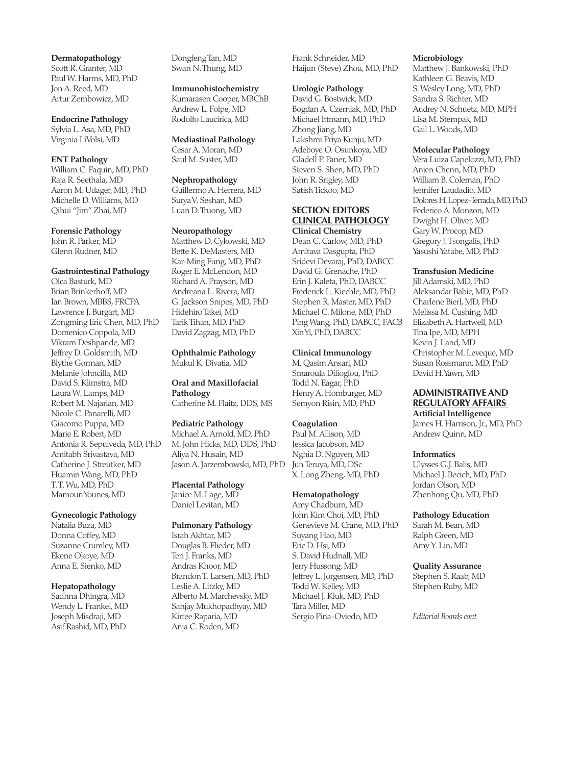**Dermatopathology** Scott R. Granter, MD Paul W. Harms, MD, PhD Jon A. Reed, MD Artur Zembowicz, MD

**Endocrine Pathology** Sylvia L. Asa, MD, PhD Virginia LiVolsi, MD

#### **ENT Pathology**

William C. Faquin, MD, PhD Raja R. Seethala, MD Aaron M. Udager, MD, PhD Michelle D. Williams, MD Qihui "Jim" Zhai, MD

#### **Forensic Pathology**

John R. Parker, MD Glenn Rudner, MD

#### **Gastrointestinal Pathology**

Olca Basturk, MD Brian Brinkerhoff, MD Ian Brown, MBBS, FRCPA Lawrence J. Burgart, MD Zongming Eric Chen, MD, PhD Domenico Coppola, MD Vikram Deshpande, MD Jeffrey D. Goldsmith, MD Blythe Gorman, MD Melanie Johncilla, MD David S. Klimstra, MD Laura W. Lamps, MD Robert M. Najarian, MD Nicole C. Panarelli, MD Giacomo Puppa, MD Marie E. Robert, MD Antonia R. Sepulveda, MD, PhD Amitabh Srivastava, MD Catherine J. Streutker, MD Huamin Wang, MD, PhD T. T. Wu, MD, PhD Mamoun Younes, MD

#### **Gynecologic Pathology**

Natalia Buza, MD Donna Coffey, MD Suzanne Crumley, MD Ekene Okoye, MD Anna E. Sienko, MD

#### **Hepatopathology**

Sadhna Dhingra, MD Wendy L. Frankel, MD Joseph Misdraji, MD Asif Rashid, MD, PhD

Dongfeng Tan, MD Swan N. Thung, MD

#### **Immunohistochemistry**

Kumarasen Cooper, MBChB Andrew L. Folpe, MD Rodolfo Laucirica, MD

#### **Mediastinal Pathology**

Cesar A. Moran, MD Saul M. Suster, MD

#### **Nephropathology**

Guillermo A. Herrera, MD Surya V. Seshan, MD Luan D. Truong, MD

#### **Neuropathology**

Matthew D. Cykowski, MD Bette K. DeMasters, MD Kar-Ming Fung, MD, PhD Roger E. McLendon, MD Richard A. Prayson, MD Andreana L. Rivera, MD G. Jackson Snipes, MD, PhD Hidehiro Takei, MD Tarik Tihan, MD, PhD David Zagzag, MD, PhD

#### **Ophthalmic Pathology** Mukul K. Divatia, MD

**Oral and Maxillofacial Pathology** Catherine M. Flaitz, DDS, MS

#### **Pediatric Pathology**

Michael A. Arnold, MD, PhD M. John Hicks, MD, DDS, PhD Aliya N. Husain, MD Jason A. Jarzembowski, MD, PhD

### **Placental Pathology**

Janice M. Lage, MD Daniel Levitan, MD

#### **Pulmonary Pathology**

Israh Akhtar, MD Douglas B. Flieder, MD Teri J. Franks, MD Andras Khoor, MD Brandon T. Larsen, MD, PhD Leslie A. Litzky, MD Alberto M. Marchevsky, MD Sanjay Mukhopadhyay, MD Kirtee Raparia, MD Anja C. Roden, MD

Frank Schneider, MD Haijun (Steve) Zhou, MD, PhD

#### **Urologic Pathology**

David G. Bostwick, MD Bogdan A. Czerniak, MD, PhD Michael Ittmann, MD, PhD Zhong Jiang, MD Lakshmi Priya Kunju, MD Adeboye O. Osunkoya, MD Gladell P. Paner, MD Steven S. Shen, MD, PhD John R. Srigley, MD Satish Tickoo, MD

#### **SECTION EDITORS CLINICAL PATHOLOGY Clinical Chemistry**

Dean C. Carlow, MD, PhD Amitava Dasgupta, PhD Sridevi Devaraj, PhD, DABCC David G. Grenache, PhD Erin J. Kaleta, PhD, DABCC Frederick L. Kiechle, MD, PhD Stephen R. Master, MD, PhD Michael C. Milone, MD, PhD Ping Wang, PhD, DABCC, FACB Xin Yi, PhD, DABCC

#### **Clinical Immunology**

M. Qasim Ansari, MD Smaroula Dilioglou, PhD Todd N. Eagar, PhD Henry A. Homburger, MD Semyon Risin, MD, PhD

#### **Coagulation**

Paul M. Allison, MD Jessica Jacobson, MD Nghia D. Nguyen, MD Jun Teruya, MD, DSc X. Long Zheng, MD, PhD

#### **Hematopathology**

Amy Chadburn, MD John Kim Choi, MD, PhD Genevieve M. Crane, MD, PhD Suyang Hao, MD Eric D. Hsi, MD S. David Hudnall, MD Jerry Hussong, MD Jeffrey L. Jorgensen, MD, PhD Todd W. Kelley, MD Michael J. Kluk, MD, PhD Tara Miller, MD Sergio Pina-Oviedo, MD

#### **Microbiology**

Matthew J. Bankowski, PhD Kathleen G. Beavis, MD S. Wesley Long, MD, PhD Sandra S. Richter, MD Audrey N. Schuetz, MD, MPH Lisa M. Stempak, MD Gail L. Woods, MD

#### **Molecular Pathology**

Vera Luiza Capelozzi, MD, PhD Anjen Chenn, MD, PhD William B. Coleman, PhD Jennifer Laudadio, MD Dolores H. Lopez-Terrada, MD, PhD Federico A. Monzon, MD Dwight H. Oliver, MD Gary W. Procop, MD Gregory J. Tsongalis, PhD Yasushi Yatabe, MD, PhD

#### **Transfusion Medicine**

Jill Adamski, MD, PhD Aleksandar Babic, MD, PhD Charlene Bierl, MD, PhD Melissa M. Cushing, MD Elizabeth A. Hartwell, MD Tina Ipe, MD, MPH Kevin J. Land, MD Christopher M. Leveque, MD Susan Rossmann, MD, PhD David H. Yawn, MD

#### **ADMINISTRATIVE AND REGULATORY AFFAIRS**

**Artificial Intelligence** James H. Harrison, Jr., MD, PhD Andrew Quinn, MD

#### **Informatics**

Ulysses G.J. Balis, MD Michael J. Becich, MD, PhD Jordan Olson, MD Zhenhong Qu, MD, PhD

#### **Pathology Education**

Sarah M. Bean, MD Ralph Green, MD Amy Y. Lin, MD

#### **Quality Assurance**

Stephen S. Raab, MD Stephen Ruby, MD

*Editorial Boards cont.*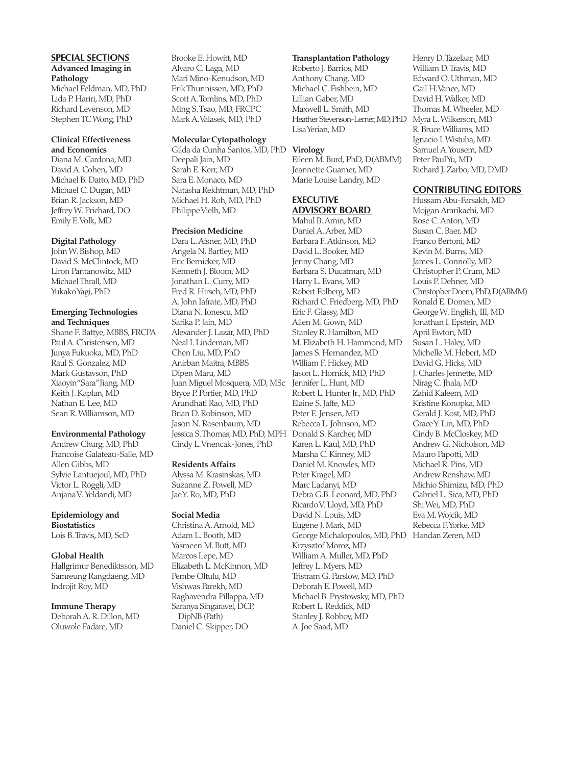#### **SPECIAL SECTIONS Advanced Imaging in Pathology**

Michael Feldman, MD, PhD Lida P. Hariri, MD, PhD Richard Levenson, MD Stephen TC Wong, PhD

#### **Clinical Effectiveness and Economics**

Diana M. Cardona, MD David A. Cohen, MD Michael B. Datto, MD, PhD Michael C. Dugan, MD Brian R. Jackson, MD Jeffrey W. Prichard, DO Emily E. Volk, MD

#### **Digital Pathology**

John W. Bishop, MD David S. McClintock, MD Liron Pantanowitz, MD Michael Thrall, MD Yukako Yagi, PhD

#### **Emerging Technologies and Techniques**

Shane F. Battye, MBBS, FRCPA Paul A. Christensen, MD Junya Fukuoka, MD, PhD Raul S. Gonzalez, MD Mark Gustavson, PhD Xiaoyin "Sara" Jiang, MD Keith J. Kaplan, MD Nathan E. Lee, MD Sean R. Williamson, MD

#### **Environmental Pathology**

Andrew Churg, MD, PhD Francoise Galateau-Salle, MD Allen Gibbs, MD Sylvie Lantuejoul, MD, PhD Victor L. Roggli, MD Anjana V. Yeldandi, MD

#### **Epidemiology and Biostatistics**

Lois B. Travis, MD, ScD

#### **Global Health**

Hallgrimur Benediktsson, MD Samreung Rangdaeng, MD Indrojit Roy, MD

**Immune Therapy** Deborah A. R. Dillon, MD Oluwole Fadare, MD

Brooke E. Howitt, MD Alvaro C. Laga, MD Mari Mino-Kenudson, MD Erik Thunnissen, MD, PhD Scott A. Tomlins, MD, PhD Ming S. Tsao, MD, FRCPC Mark A. Valasek, MD, PhD

#### **Molecular Cytopathology**

Gilda da Cunha Santos, MD, PhD **Virology** Deepali Jain, MD Sarah E. Kerr, MD Sara E. Monaco, MD Natasha Rekhtman, MD, PhD Michael H. Roh, MD, PhD Philippe Vielh, MD

#### **Precision Medicine**

Dara L. Aisner, MD, PhD Angela N. Bartley, MD Eric Bernicker, MD Kenneth J. Bloom, MD Jonathan L. Curry, MD Fred R. Hirsch, MD, PhD A. John Iafrate, MD, PhD Diana N. Ionescu, MD Sarika P. Jain, MD Alexander J. Lazar, MD, PhD Neal I. Lindeman, MD Chen Liu, MD, PhD Anirban Maitra, MBBS Dipen Maru, MD Juan Miguel Mosquera, MD, MSc Bryce P. Portier, MD, PhD Arundhati Rao, MD, PhD Brian D. Robinson, MD Jason N. Rosenbaum, MD Jessica S. Thomas, MD, PhD, MPH Cindy L. Vnencak-Jones, PhD

#### **Residents Affairs**

Alyssa M. Krasinskas, MD Suzanne Z. Powell, MD Jae Y. Ro, MD, PhD

#### **Social Media**

Christina A. Arnold, MD Adam L. Booth, MD Yasmeen M. Butt, MD Marcos Lepe, MD Elizabeth L. McKinnon, MD Pembe Oltulu, MD Vishwas Parekh, MD Raghavendra Pillappa, MD Saranya Singaravel, DCP, DipNB (Path) Daniel C. Skipper, DO

#### **Transplantation Pathology**

Roberto J. Barrios, MD Anthony Chang, MD Michael C. Fishbein, MD Lillian Gaber, MD Maxwell L. Smith, MD Heather Stevenson-Lerner, MD, PhD Lisa Yerian, MD

Eileen M. Burd, PhD, D(ABMM) Jeannette Guarner, MD Marie Louise Landry, MD

### **EXECUTIVE ADVISORY BOARD**

Mahul B. Amin, MD Daniel A. Arber, MD Barbara F. Atkinson, MD David L. Booker, MD Jenny Chang, MD Barbara S. Ducatman, MD Harry L. Evans, MD Robert Folberg, MD Richard C. Friedberg, MD, PhD Eric F. Glassy, MD Allen M. Gown, MD Stanley R. Hamilton, MD M. Elizabeth H. Hammond, MD James S. Hernandez, MD William F. Hickey, MD Jason L. Hornick, MD, PhD Jennifer L. Hunt, MD Robert L. Hunter Jr., MD, PhD Elaine S. Jaffe, MD Peter E. Jensen, MD Rebecca L. Johnson, MD Donald S. Karcher, MD Karen L. Kaul, MD, PhD Marsha C. Kinney, MD Daniel M. Knowles, MD Peter Kragel, MD Marc Ladanyi, MD Debra G.B. Leonard, MD, PhD Ricardo V. Lloyd, MD, PhD David N. Louis, MD Eugene J. Mark, MD George Michalopoulos, MD, PhD Handan Zeren, MDKrzysztof Moroz, MD William A. Muller, MD, PhD Jeffrey L. Myers, MD Tristram G. Parslow, MD, PhD Deborah E. Powell, MD Michael B. Prystowsky, MD, PhD Robert L. Reddick, MD Stanley J. Robboy, MD A. Joe Saad, MD

Henry D. Tazelaar, MD William D. Travis, MD Edward O. Uthman, MD Gail H. Vance, MD David H. Walker, MD Thomas M. Wheeler, MD Myra L. Wilkerson, MD R. Bruce Williams, MD Ignacio I. Wistuba, MD Samuel A. Yousem, MD Peter Paul Yu, MD Richard J. Zarbo, MD, DMD

#### **CONTRIBUTING EDITORS**

Hussam Abu-Farsakh, MD Mojgan Amrikachi, MD Rose C. Anton, MD Susan C. Baer, MD Franco Bertoni, MD Kevin M. Burns, MD James L. Connolly, MD Christopher P. Crum, MD Louis P. Dehner, MD Christopher Doern, PhD, D(ABMM) Ronald E. Domen, MD George W. English, III, MD Jonathan I. Epstein, MD April Ewton, MD Susan L. Haley, MD Michelle M. Hebert, MD David G. Hicks, MD J. Charles Jennette, MD Nirag C. Jhala, MD Zahid Kaleem, MD Kristine Konopka, MD Gerald J. Kost, MD, PhD Grace Y. Lin, MD, PhD Cindy B. McCloskey, MD Andrew G. Nicholson, MD Mauro Papotti, MD Michael R. Pins, MD Andrew Renshaw, MD Michio Shimizu, MD, PhD Gabriel L. Sica, MD, PhD Shi Wei, MD, PhD Eva M. Wojcik, MD Rebecca F. Yorke, MD